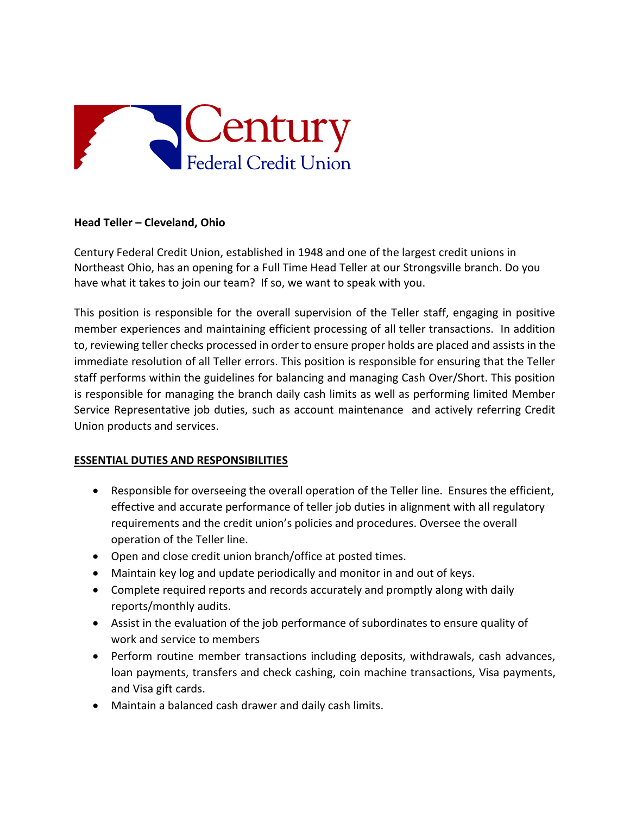

## **Head Teller – Cleveland, Ohio**

Century Federal Credit Union, established in 1948 and one of the largest credit unions in Northeast Ohio, has an opening for a Full Time Head Teller at our Strongsville branch. Do you have what it takes to join our team? If so, we want to speak with you.

This position is responsible for the overall supervision of the Teller staff, engaging in positive member experiences and maintaining efficient processing of all teller transactions. In addition to, reviewing teller checks processed in order to ensure proper holds are placed and assists in the immediate resolution of all Teller errors. This position is responsible for ensuring that the Teller staff performs within the guidelines for balancing and managing Cash Over/Short. This position is responsible for managing the branch daily cash limits as well as performing limited Member Service Representative job duties, such as account maintenance and actively referring Credit Union products and services.

## **ESSENTIAL DUTIES AND RESPONSIBILITIES**

- Responsible for overseeing the overall operation of the Teller line. Ensures the efficient, effective and accurate performance of teller job duties in alignment with all regulatory requirements and the credit union's policies and procedures. Oversee the overall operation of the Teller line.
- Open and close credit union branch/office at posted times.
- Maintain key log and update periodically and monitor in and out of keys.
- Complete required reports and records accurately and promptly along with daily reports/monthly audits.
- Assist in the evaluation of the job performance of subordinates to ensure quality of work and service to members
- Perform routine member transactions including deposits, withdrawals, cash advances, loan payments, transfers and check cashing, coin machine transactions, Visa payments, and Visa gift cards.
- Maintain a balanced cash drawer and daily cash limits.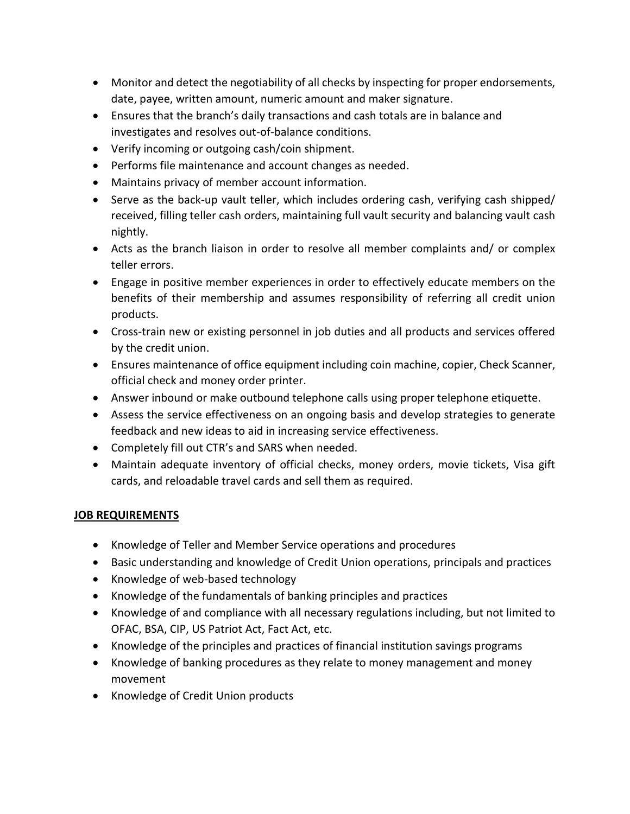- Monitor and detect the negotiability of all checks by inspecting for proper endorsements, date, payee, written amount, numeric amount and maker signature.
- Ensures that the branch's daily transactions and cash totals are in balance and investigates and resolves out-of-balance conditions.
- Verify incoming or outgoing cash/coin shipment.
- Performs file maintenance and account changes as needed.
- Maintains privacy of member account information.
- Serve as the back-up vault teller, which includes ordering cash, verifying cash shipped/ received, filling teller cash orders, maintaining full vault security and balancing vault cash nightly.
- Acts as the branch liaison in order to resolve all member complaints and/ or complex teller errors.
- Engage in positive member experiences in order to effectively educate members on the benefits of their membership and assumes responsibility of referring all credit union products.
- Cross-train new or existing personnel in job duties and all products and services offered by the credit union.
- Ensures maintenance of office equipment including coin machine, copier, Check Scanner, official check and money order printer.
- Answer inbound or make outbound telephone calls using proper telephone etiquette.
- Assess the service effectiveness on an ongoing basis and develop strategies to generate feedback and new ideas to aid in increasing service effectiveness.
- Completely fill out CTR's and SARS when needed.
- Maintain adequate inventory of official checks, money orders, movie tickets, Visa gift cards, and reloadable travel cards and sell them as required.

## **JOB REQUIREMENTS**

- Knowledge of Teller and Member Service operations and procedures
- Basic understanding and knowledge of Credit Union operations, principals and practices
- Knowledge of web-based technology
- Knowledge of the fundamentals of banking principles and practices
- Knowledge of and compliance with all necessary regulations including, but not limited to OFAC, BSA, CIP, US Patriot Act, Fact Act, etc.
- Knowledge of the principles and practices of financial institution savings programs
- Knowledge of banking procedures as they relate to money management and money movement
- Knowledge of Credit Union products